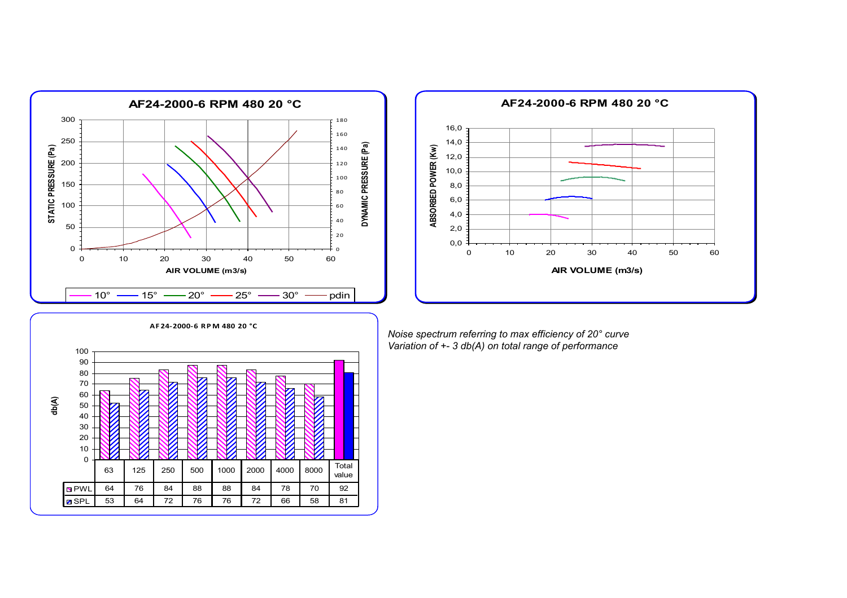



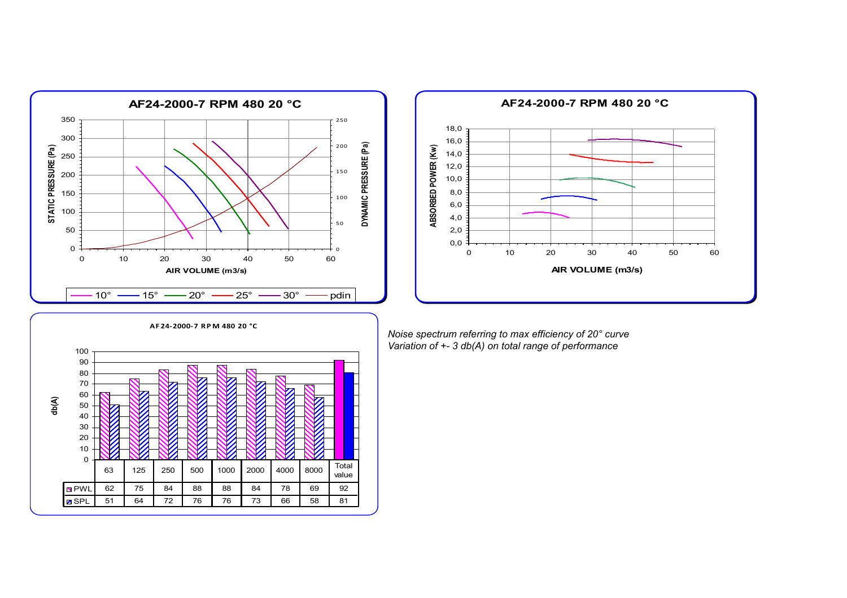



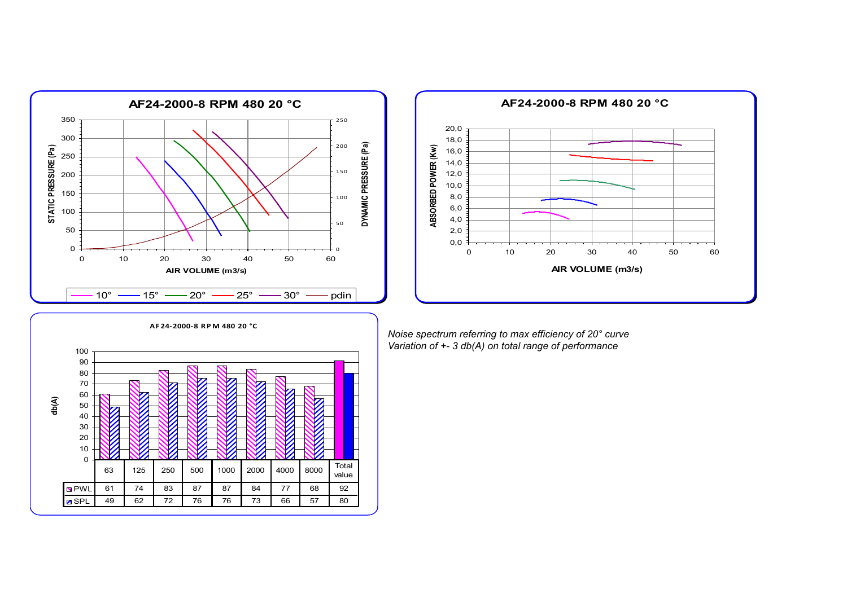



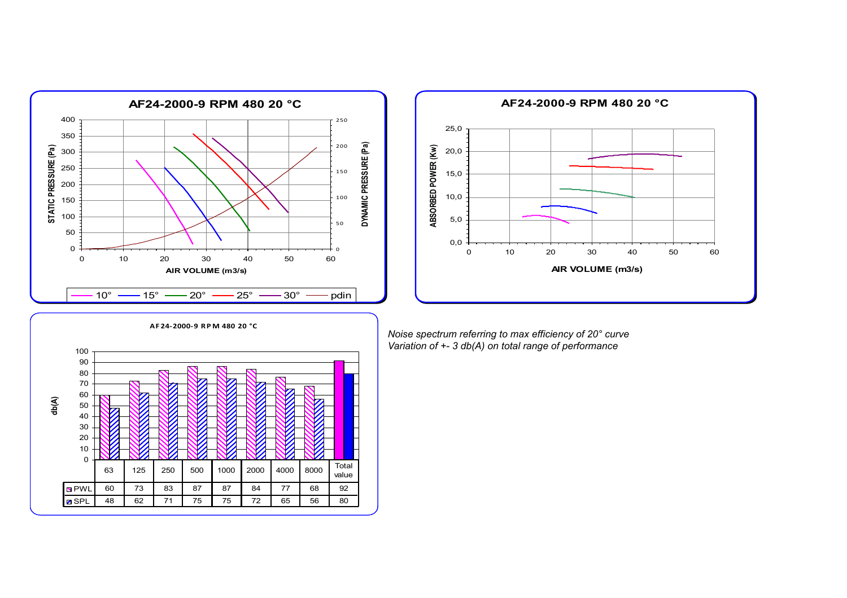



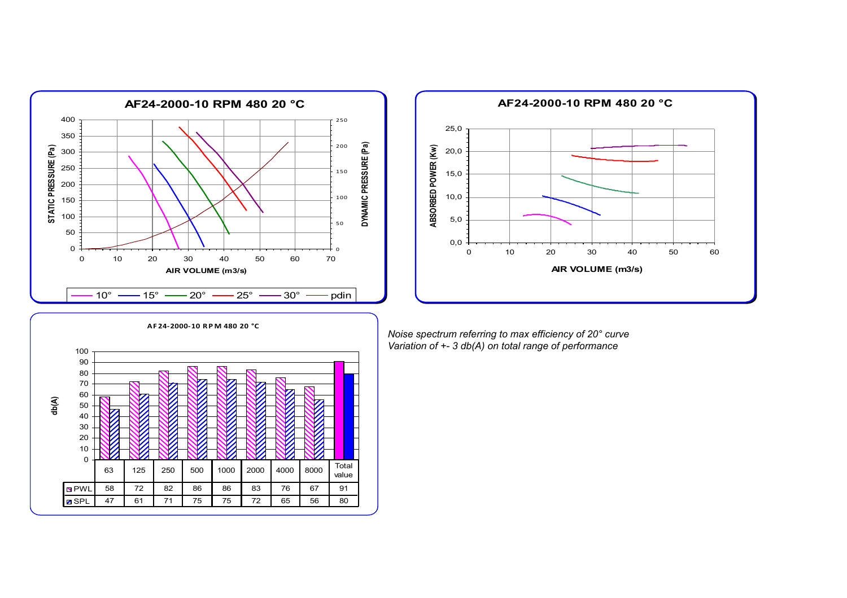



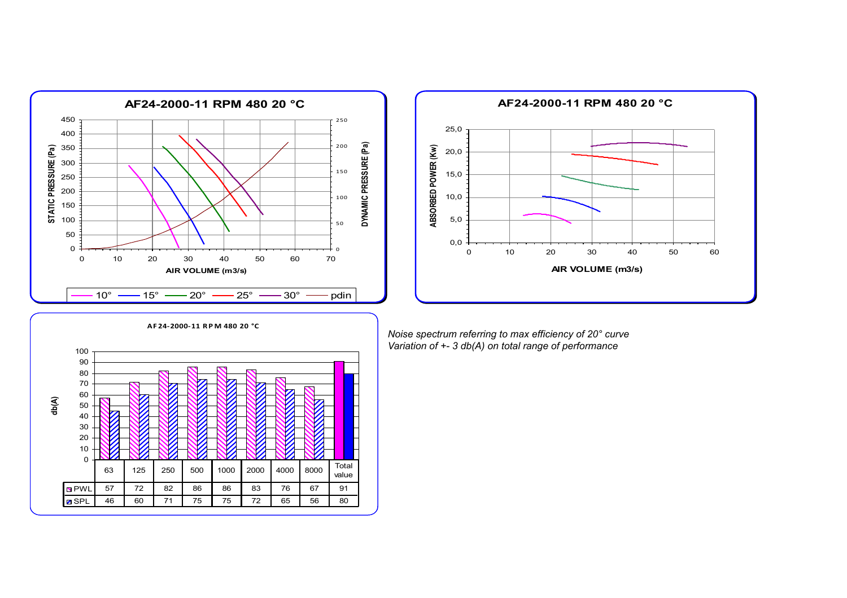



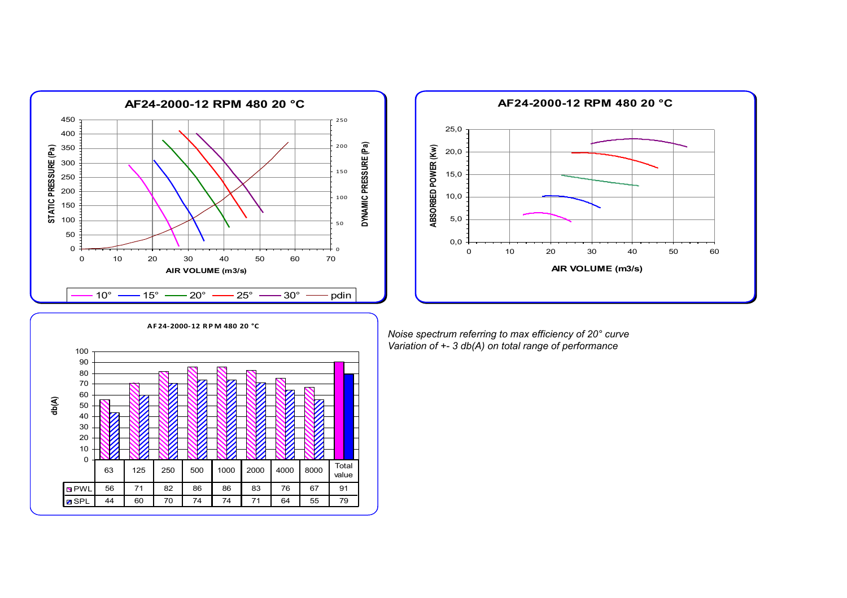